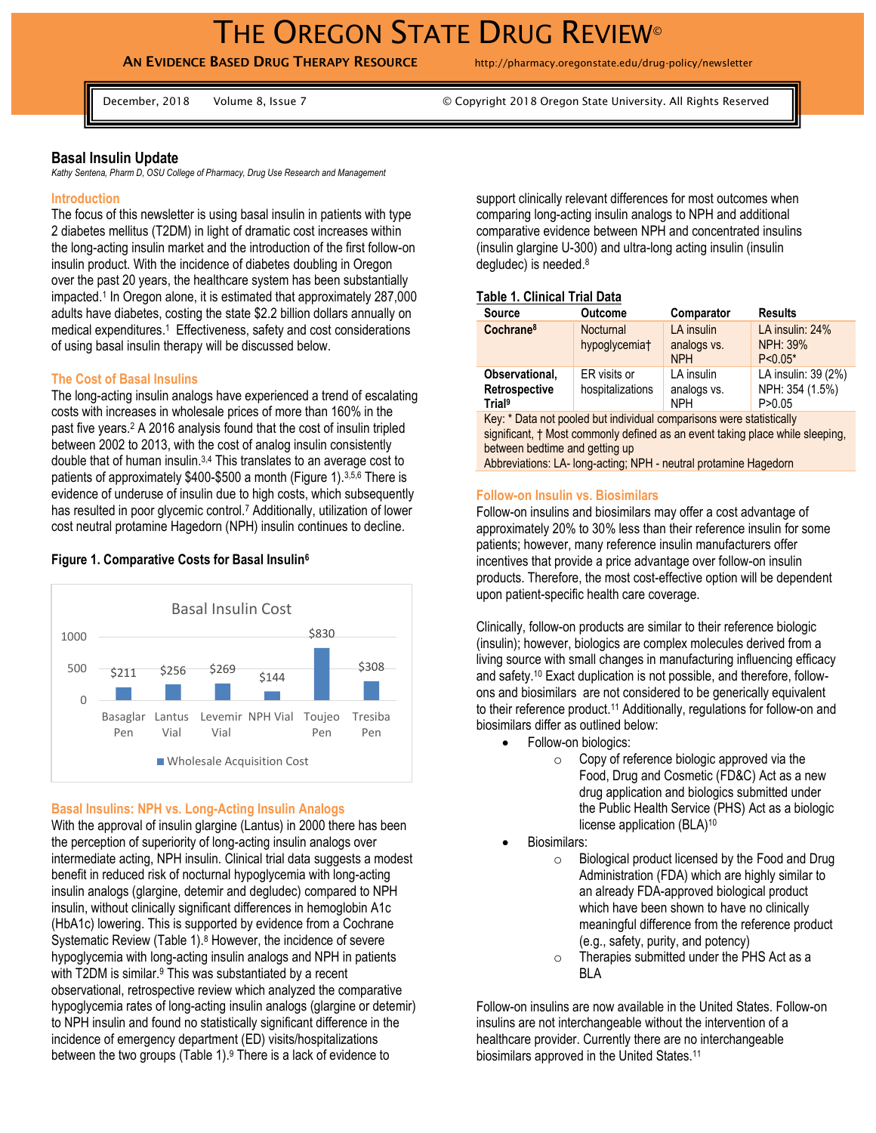# THE OREGON STATE DRUG REVIEW<sup>®</sup>

# **AN EVIDENCE BASED DRUG THERAPY RESOURCE** http://pharmacy.oregonstate.edu/drug-policy/newsletter

December, 2018 Volume 8, Issue 7 © Copyright 2018 Oregon State University. All Rights Reserved

#### **Basal Insulin Update**

*Kathy Sentena, Pharm D, OSU College of Pharmacy, Drug Use Research and Management* 

#### **Introduction**

The focus of this newsletter is using basal insulin in patients with type 2 diabetes mellitus (T2DM) in light of dramatic cost increases within the long-acting insulin market and the introduction of the first follow-on insulin product. With the incidence of diabetes doubling in Oregon over the past 20 years, the healthcare system has been substantially impacted. 1 In Oregon alone, it is estimated that approximately 287,000 adults have diabetes, costing the state \$2.2 billion dollars annually on medical expenditures. <sup>1</sup> Effectiveness, safety and cost considerations of using basal insulin therapy will be discussed below.

#### **The Cost of Basal Insulins**

The long-acting insulin analogs have experienced a trend of escalating costs with increases in wholesale prices of more than 160% in the past five years.<sup>2</sup> A 2016 analysis found that the cost of insulin tripled between 2002 to 2013, with the cost of analog insulin consistently double that of human insulin. 3,4 This translates to an average cost to patients of approximately \$400-\$500 a month (Figure 1).3,5,6 There is evidence of underuse of insulin due to high costs, which subsequently has resulted in poor glycemic control.<sup>7</sup> Additionally, utilization of lower cost neutral protamine Hagedorn (NPH) insulin continues to decline.

#### $$211$   $$256$   $$269$   $$144$ \$830 \$308  $\cap$ 500 1000 Basaglar Lantus Levemir NPH Vial Toujeo Pen Vial Vial Pen Tresiba Pen Basal Insulin Cost **Wholesale Acquisition Cost**

# **Figure 1. Comparative Costs for Basal Insulin<sup>6</sup>**

#### **Basal Insulins: NPH vs. Long-Acting Insulin Analogs**

With the approval of insulin glargine (Lantus) in 2000 there has been the perception of superiority of long-acting insulin analogs over intermediate acting, NPH insulin. Clinical trial data suggests a modest benefit in reduced risk of nocturnal hypoglycemia with long-acting insulin analogs (glargine, detemir and degludec) compared to NPH insulin, without clinically significant differences in hemoglobin A1c (HbA1c) lowering. This is supported by evidence from a Cochrane Systematic Review (Table 1). <sup>8</sup> However, the incidence of severe hypoglycemia with long-acting insulin analogs and NPH in patients with T2DM is similar.<sup>9</sup> This was substantiated by a recent observational, retrospective review which analyzed the comparative hypoglycemia rates of long-acting insulin analogs (glargine or detemir) to NPH insulin and found no statistically significant difference in the incidence of emergency department (ED) visits/hospitalizations between the two groups (Table 1). <sup>9</sup> There is a lack of evidence to

support clinically relevant differences for most outcomes when comparing long-acting insulin analogs to NPH and additional comparative evidence between NPH and concentrated insulins (insulin glargine U-300) and ultra-long acting insulin (insulin degludec) is needed. 8

#### **Table 1. Clinical Trial Data**

| <b>Source</b>                                                | <b>Outcome</b>                         | Comparator                              | <b>Results</b>                                     |
|--------------------------------------------------------------|----------------------------------------|-----------------------------------------|----------------------------------------------------|
| Cochrane <sup>8</sup>                                        | Nocturnal<br>hypoglycemia <sup>†</sup> | LA insulin<br>analogs vs.<br><b>NPH</b> | LA insulin: 24%<br><b>NPH: 39%</b><br>$P < 0.05*$  |
| Observational,<br>Retrospective<br><b>Trial</b> <sup>9</sup> | ER visits or<br>hospitalizations       | LA insulin<br>analogs vs.<br><b>NPH</b> | LA insulin: 39 (2%)<br>NPH: 354 (1.5%)<br>P > 0.05 |

Key: \* Data not pooled but individual comparisons were statistically significant, † Most commonly defined as an event taking place while sleeping, between bedtime and getting up

Abbreviations: LA- long-acting; NPH - neutral protamine Hagedorn

# **Follow-on Insulin vs. Biosimilars**

Follow-on insulins and biosimilars may offer a cost advantage of approximately 20% to 30% less than their reference insulin for some patients; however, many reference insulin manufacturers offer incentives that provide a price advantage over follow-on insulin products. Therefore, the most cost-effective option will be dependent upon patient-specific health care coverage.

Clinically, follow-on products are similar to their reference biologic (insulin); however, biologics are complex molecules derived from a living source with small changes in manufacturing influencing efficacy and safety.<sup>10</sup> Exact duplication is not possible, and therefore, followons and biosimilars are not considered to be generically equivalent to their reference product. <sup>11</sup> Additionally, regulations for follow-on and biosimilars differ as outlined below:

- Follow-on biologics:
	- $\circ$  Copy of reference biologic approved via the Food, Drug and Cosmetic (FD&C) Act as a new drug application and biologics submitted under the Public Health Service (PHS) Act as a biologic license application (BLA)<sup>10</sup>
- Biosimilars:
	- o Biological product licensed by the Food and Drug Administration (FDA) which are highly similar to an already FDA-approved biological product which have been shown to have no clinically meaningful difference from the reference product (e.g., safety, purity, and potency)
	- o Therapies submitted under the PHS Act as a BLA

Follow-on insulins are now available in the United States. Follow-on insulins are not interchangeable without the intervention of a healthcare provider. Currently there are no interchangeable biosimilars approved in the United States.<sup>11</sup>